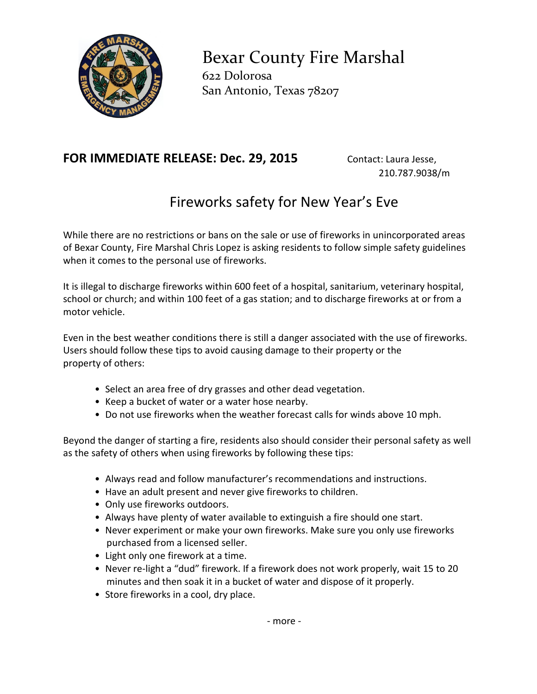

Bexar County Fire Marshal 622 Dolorosa San Antonio, Texas 78207

## **FOR IMMEDIATE RELEASE: Dec. 29, 2015** Contact: Laura Jesse,

210.787.9038/m

## Fireworks safety for New Year's Eve

While there are no restrictions or bans on the sale or use of fireworks in unincorporated areas of Bexar County, Fire Marshal Chris Lopez is asking residents to follow simple safety guidelines when it comes to the personal use of fireworks.

It is illegal to discharge fireworks within 600 feet of a hospital, sanitarium, veterinary hospital, school or church; and within 100 feet of a gas station; and to discharge fireworks at or from a motor vehicle.

Even in the best weather conditions there is still a danger associated with the use of fireworks. Users should follow these tips to avoid causing damage to their property or the property of others:

- Select an area free of dry grasses and other dead vegetation.
- Keep a bucket of water or a water hose nearby.
- Do not use fireworks when the weather forecast calls for winds above 10 mph.

Beyond the danger of starting a fire, residents also should consider their personal safety as well as the safety of others when using fireworks by following these tips:

- Always read and follow manufacturer's recommendations and instructions.
- Have an adult present and never give fireworks to children.
- Only use fireworks outdoors.
- Always have plenty of water available to extinguish a fire should one start.
- Never experiment or make your own fireworks. Make sure you only use fireworks purchased from a licensed seller.
- Light only one firework at a time.
- Never re‐light a "dud" firework. If a firework does not work properly, wait 15 to 20 minutes and then soak it in a bucket of water and dispose of it properly.
- Store fireworks in a cool, dry place.

- more -